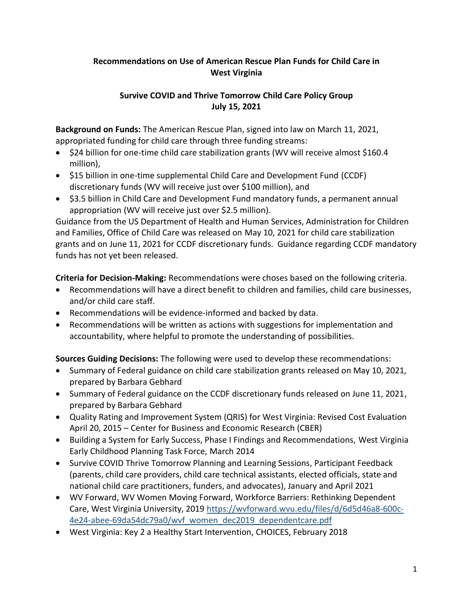# **Recommendations on Use of American Rescue Plan Funds for Child Care in West Virginia**

## **Survive COVID and Thrive Tomorrow Child Care Policy Group July 15, 2021**

**Background on Funds:** The American Rescue Plan, signed into law on March 11, 2021, appropriated funding for child care through three funding streams:

- \$24 billion for one-time child care stabilization grants (WV will receive almost \$160.4 million),
- \$15 billion in one-time supplemental Child Care and Development Fund (CCDF) discretionary funds (WV will receive just over \$100 million), and
- \$3.5 billion in Child Care and Development Fund mandatory funds, a permanent annual appropriation (WV will receive just over \$2.5 million).

Guidance from the US Department of Health and Human Services, Administration for Children and Families, Office of Child Care was released on May 10, 2021 for child care stabilization grants and on June 11, 2021 for CCDF discretionary funds. Guidance regarding CCDF mandatory funds has not yet been released.

**Criteria for Decision-Making:** Recommendations were choses based on the following criteria.

- Recommendations will have a direct benefit to children and families, child care businesses, and/or child care staff.
- Recommendations will be evidence-informed and backed by data.
- Recommendations will be written as actions with suggestions for implementation and accountability, where helpful to promote the understanding of possibilities.

**Sources Guiding Decisions:** The following were used to develop these recommendations:

- Summary of Federal guidance on child care stabilization grants released on May 10, 2021, prepared by Barbara Gebhard
- Summary of Federal guidance on the CCDF discretionary funds released on June 11, 2021, prepared by Barbara Gebhard
- Quality Rating and Improvement System (QRIS) for West Virginia: Revised Cost Evaluation April 20, 2015 – Center for Business and Economic Research (CBER)
- Building a System for Early Success, Phase I Findings and Recommendations, West Virginia Early Childhood Planning Task Force, March 2014
- Survive COVID Thrive Tomorrow Planning and Learning Sessions, Participant Feedback (parents, child care providers, child care technical assistants, elected officials, state and national child care practitioners, funders, and advocates), January and April 2021
- WV Forward, WV Women Moving Forward, Workforce Barriers: Rethinking Dependent Care, West Virginia University, 2019 [https://wvforward.wvu.edu/files/d/6d5d46a8-600c-](https://wvforward.wvu.edu/files/d/6d5d46a8-600c-4e24-abee-69da54dc79a0/wvf_women_dec2019_dependentcare.pdf)[4e24-abee-69da54dc79a0/wvf\\_women\\_dec2019\\_dependentcare.pdf](https://wvforward.wvu.edu/files/d/6d5d46a8-600c-4e24-abee-69da54dc79a0/wvf_women_dec2019_dependentcare.pdf)
- West Virginia: Key 2 a Healthy Start Intervention, CHOICES, February 2018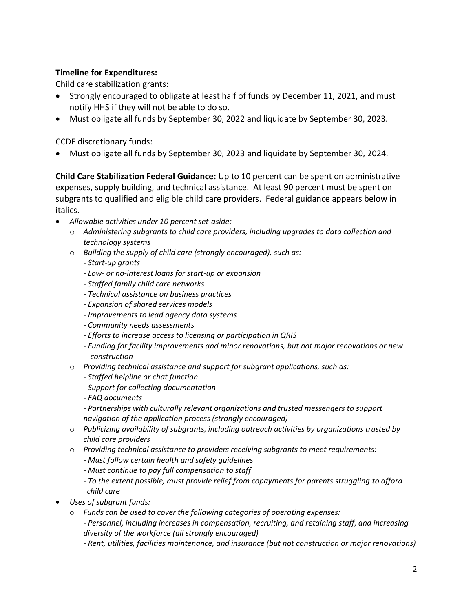## **Timeline for Expenditures:**

Child care stabilization grants:

- Strongly encouraged to obligate at least half of funds by December 11, 2021, and must notify HHS if they will not be able to do so.
- Must obligate all funds by September 30, 2022 and liquidate by September 30, 2023.

CCDF discretionary funds:

• Must obligate all funds by September 30, 2023 and liquidate by September 30, 2024.

**Child Care Stabilization Federal Guidance:** Up to 10 percent can be spent on administrative expenses, supply building, and technical assistance. At least 90 percent must be spent on subgrants to qualified and eligible child care providers. Federal guidance appears below in italics.

- *Allowable activities under 10 percent set-aside:*
	- o *Administering subgrants to child care providers, including upgrades to data collection and technology systems*
	- o *Building the supply of child care (strongly encouraged), such as:*
		- *- Start-up grants*
		- *- Low- or no-interest loans for start-up or expansion*
		- *- Staffed family child care networks*
		- *- Technical assistance on business practices*
		- *- Expansion of shared services models*
		- *- Improvements to lead agency data systems*
		- *- Community needs assessments*
		- *- Efforts to increase access to licensing or participation in QRIS*
		- *- Funding for facility improvements and minor renovations, but not major renovations or new construction*
	- o *Providing technical assistance and support for subgrant applications, such as:*
		- *- Staffed helpline or chat function*
		- *- Support for collecting documentation*
		- *- FAQ documents*
		- *- Partnerships with culturally relevant organizations and trusted messengers to support navigation of the application process (strongly encouraged)*
	- o *Publicizing availability of subgrants, including outreach activities by organizations trusted by child care providers*
	- o *Providing technical assistance to providers receiving subgrants to meet requirements:*
		- *- Must follow certain health and safety guidelines*
		- *- Must continue to pay full compensation to staff*
		- *- To the extent possible, must provide relief from copayments for parents struggling to afford child care*
- *Uses of subgrant funds:*
	- o *Funds can be used to cover the following categories of operating expenses:*
		- *- Personnel, including increases in compensation, recruiting, and retaining staff, and increasing diversity of the workforce (all strongly encouraged)*
		- *- Rent, utilities, facilities maintenance, and insurance (but not construction or major renovations)*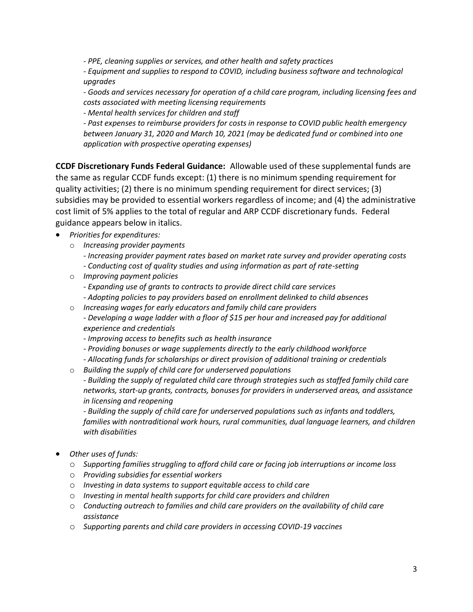*- PPE, cleaning supplies or services, and other health and safety practices*

*- Equipment and supplies to respond to COVID, including business software and technological upgrades*

*- Goods and services necessary for operation of a child care program, including licensing fees and costs associated with meeting licensing requirements*

*- Mental health services for children and staff*

*- Past expenses to reimburse providers for costs in response to COVID public health emergency between January 31, 2020 and March 10, 2021 (may be dedicated fund or combined into one application with prospective operating expenses)*

**CCDF Discretionary Funds Federal Guidance:** Allowable used of these supplemental funds are the same as regular CCDF funds except: (1) there is no minimum spending requirement for quality activities; (2) there is no minimum spending requirement for direct services; (3) subsidies may be provided to essential workers regardless of income; and (4) the administrative cost limit of 5% applies to the total of regular and ARP CCDF discretionary funds. Federal guidance appears below in italics.

- *Priorities for expenditures:*
	- o *Increasing provider payments*
		- *- Increasing provider payment rates based on market rate survey and provider operating costs*
		- *- Conducting cost of quality studies and using information as part of rate-setting*
	- o *Improving payment policies*
		- *- Expanding use of grants to contracts to provide direct child care services*
		- *- Adopting policies to pay providers based on enrollment delinked to child absences*
	- o *Increasing wages for early educators and family child care providers - Developing a wage ladder with a floor of \$15 per hour and increased pay for additional experience and credentials*
		- *- Improving access to benefits such as health insurance*
		- *- Providing bonuses or wage supplements directly to the early childhood workforce*
		- *- Allocating funds for scholarships or direct provision of additional training or credentials*
	- o *Building the supply of child care for underserved populations*

*- Building the supply of regulated child care through strategies such as staffed family child care networks, start-up grants, contracts, bonuses for providers in underserved areas, and assistance in licensing and reopening*

*- Building the supply of child care for underserved populations such as infants and toddlers, families with nontraditional work hours, rural communities, dual language learners, and children with disabilities*

- *Other uses of funds:*
	- o *Supporting families struggling to afford child care or facing job interruptions or income loss*
	- o *Providing subsidies for essential workers*
	- o *Investing in data systems to support equitable access to child care*
	- o *Investing in mental health supports for child care providers and children*
	- o *Conducting outreach to families and child care providers on the availability of child care assistance*
	- o *Supporting parents and child care providers in accessing COVID-19 vaccines*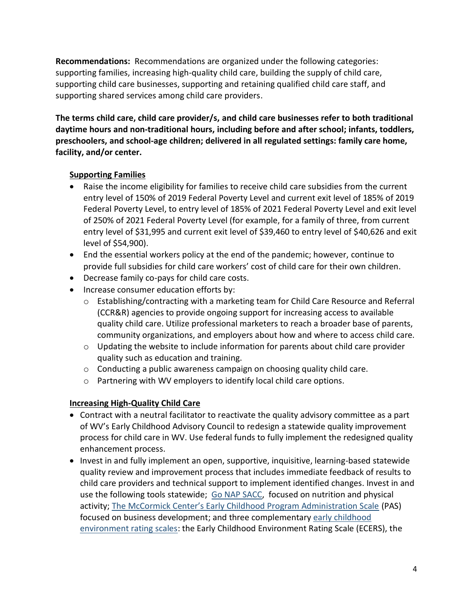**Recommendations:** Recommendations are organized under the following categories: supporting families, increasing high-quality child care, building the supply of child care, supporting child care businesses, supporting and retaining qualified child care staff, and supporting shared services among child care providers.

**The terms child care, child care provider/s, and child care businesses refer to both traditional daytime hours and non-traditional hours, including before and after school; infants, toddlers, preschoolers, and school-age children; delivered in all regulated settings: family care home, facility, and/or center.**

## **Supporting Families**

- Raise the income eligibility for families to receive child care subsidies from the current entry level of 150% of 2019 Federal Poverty Level and current exit level of 185% of 2019 Federal Poverty Level, to entry level of 185% of 2021 Federal Poverty Level and exit level of 250% of 2021 Federal Poverty Level (for example, for a family of three, from current entry level of \$31,995 and current exit level of \$39,460 to entry level of \$40,626 and exit level of \$54,900).
- End the essential workers policy at the end of the pandemic; however, continue to provide full subsidies for child care workers' cost of child care for their own children.
- Decrease family co-pays for child care costs.
- Increase consumer education efforts by:
	- o Establishing/contracting with a marketing team for Child Care Resource and Referral (CCR&R) agencies to provide ongoing support for increasing access to available quality child care. Utilize professional marketers to reach a broader base of parents, community organizations, and employers about how and where to access child care.
	- $\circ$  Updating the website to include information for parents about child care provider quality such as education and training.
	- o Conducting a public awareness campaign on choosing quality child care.
	- o Partnering with WV employers to identify local child care options.

### **Increasing High-Quality Child Care**

- Contract with a neutral facilitator to reactivate the quality advisory committee as a part of WV's Early Childhood Advisory Council to redesign a statewide quality improvement process for child care in WV. Use federal funds to fully implement the redesigned quality enhancement process.
- Invest in and fully implement an open, supportive, inquisitive, learning-based statewide quality review and improvement process that includes immediate feedback of results to child care providers and technical support to implement identified changes. Invest in and use the following tools statewide; [Go NAP SACC,](https://gonapsacc.org/) focused on nutrition and physical activity; [The McCormick Center's Early Childhood Program Administration Scale](https://mccormickcenter.nl.edu/services/program-evaluation/) (PAS) focused on business development; and three complementary [early childhood](https://ers.fpg.unc.edu/)  [environment rating scales:](https://ers.fpg.unc.edu/) the Early Childhood Environment Rating Scale (ECERS), the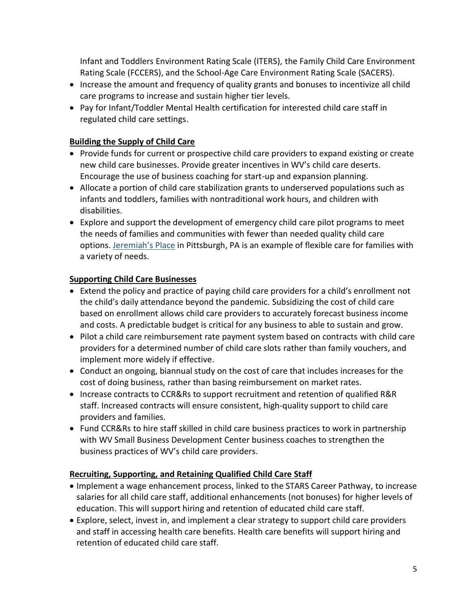Infant and Toddlers Environment Rating Scale (ITERS), the Family Child Care Environment Rating Scale (FCCERS), and the School-Age Care Environment Rating Scale (SACERS).

- Increase the amount and frequency of quality grants and bonuses to incentivize all child care programs to increase and sustain higher tier levels.
- Pay for Infant/Toddler Mental Health certification for interested child care staff in regulated child care settings.

# **Building the Supply of Child Care**

- Provide funds for current or prospective child care providers to expand existing or create new child care businesses. Provide greater incentives in WV's child care deserts. Encourage the use of business coaching for start-up and expansion planning.
- Allocate a portion of child care stabilization grants to underserved populations such as infants and toddlers, families with nontraditional work hours, and children with disabilities.
- Explore and support the development of emergency child care pilot programs to meet the needs of families and communities with fewer than needed quality child care options. [Jeremiah's Place](https://jeremiahsplace.org/) in Pittsburgh, PA is an example of flexible care for families with a variety of needs.

### **Supporting Child Care Businesses**

- Extend the policy and practice of paying child care providers for a child's enrollment not the child's daily attendance beyond the pandemic. Subsidizing the cost of child care based on enrollment allows child care providers to accurately forecast business income and costs. A predictable budget is critical for any business to able to sustain and grow.
- Pilot a child care reimbursement rate payment system based on contracts with child care providers for a determined number of child care slots rather than family vouchers, and implement more widely if effective.
- Conduct an ongoing, biannual study on the cost of care that includes increases for the cost of doing business, rather than basing reimbursement on market rates.
- Increase contracts to CCR&Rs to support recruitment and retention of qualified R&R staff. Increased contracts will ensure consistent, high-quality support to child care providers and families.
- Fund CCR&Rs to hire staff skilled in child care business practices to work in partnership with WV Small Business Development Center business coaches to strengthen the business practices of WV's child care providers.

### **Recruiting, Supporting, and Retaining Qualified Child Care Staff**

- Implement a wage enhancement process, linked to the STARS Career Pathway, to increase salaries for all child care staff, additional enhancements (not bonuses) for higher levels of education. This will support hiring and retention of educated child care staff.
- Explore, select, invest in, and implement a clear strategy to support child care providers and staff in accessing health care benefits. Health care benefits will support hiring and retention of educated child care staff.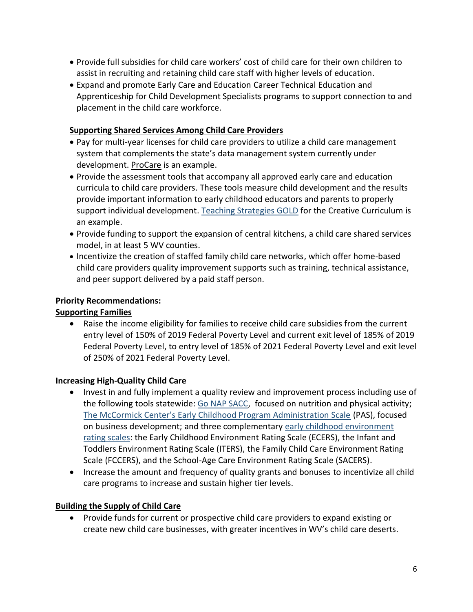- Provide full subsidies for child care workers' cost of child care for their own children to assist in recruiting and retaining child care staff with higher levels of education.
- Expand and promote Early Care and Education Career Technical Education and Apprenticeship for Child Development Specialists programs to support connection to and placement in the child care workforce.

## **Supporting Shared Services Among Child Care Providers**

- Pay for multi-year licenses for child care providers to utilize a child care management system that complements the state's data management system currently under development[. ProCare](https://www.procaresoftware.com/) is an example.
- Provide the assessment tools that accompany all approved early care and education curricula to child care providers. These tools measure child development and the results provide important information to early childhood educators and parents to properly support individual development. [Teaching Strategies GOLD](https://teachingstrategies.com/solutions/assess/gold/) for the Creative Curriculum is an example.
- Provide funding to support the expansion of central kitchens, a child care shared services model, in at least 5 WV counties.
- Incentivize the creation of staffed family child care networks, which offer home-based child care providers quality improvement supports such as training, technical assistance, and peer support delivered by a paid staff person.

# **Priority Recommendations:**

# **Supporting Families**

• Raise the income eligibility for families to receive child care subsidies from the current entry level of 150% of 2019 Federal Poverty Level and current exit level of 185% of 2019 Federal Poverty Level, to entry level of 185% of 2021 Federal Poverty Level and exit level of 250% of 2021 Federal Poverty Level.

# **Increasing High-Quality Child Care**

- Invest in and fully implement a quality review and improvement process including use of the following tools statewide: [Go NAP SACC,](https://gonapsacc.org/) focused on nutrition and physical activity; [The McCormick Center's Early Childhood Program Administration Scale](https://mccormickcenter.nl.edu/services/program-evaluation/) (PAS), focused on business development; and three complementary [early childhood environment](https://ers.fpg.unc.edu/)  [rating scales:](https://ers.fpg.unc.edu/) the Early Childhood Environment Rating Scale (ECERS), the Infant and Toddlers Environment Rating Scale (ITERS), the Family Child Care Environment Rating Scale (FCCERS), and the School-Age Care Environment Rating Scale (SACERS).
- Increase the amount and frequency of quality grants and bonuses to incentivize all child care programs to increase and sustain higher tier levels.

# **Building the Supply of Child Care**

• Provide funds for current or prospective child care providers to expand existing or create new child care businesses, with greater incentives in WV's child care deserts.